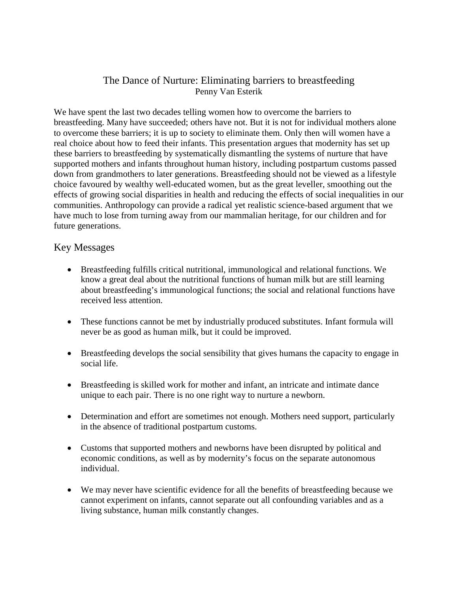## The Dance of Nurture: Eliminating barriers to breastfeeding Penny Van Esterik

We have spent the last two decades telling women how to overcome the barriers to breastfeeding. Many have succeeded; others have not. But it is not for individual mothers alone to overcome these barriers; it is up to society to eliminate them. Only then will women have a real choice about how to feed their infants. This presentation argues that modernity has set up these barriers to breastfeeding by systematically dismantling the systems of nurture that have supported mothers and infants throughout human history, including postpartum customs passed down from grandmothers to later generations. Breastfeeding should not be viewed as a lifestyle choice favoured by wealthy well-educated women, but as the great leveller, smoothing out the effects of growing social disparities in health and reducing the effects of social inequalities in our communities. Anthropology can provide a radical yet realistic science-based argument that we have much to lose from turning away from our mammalian heritage, for our children and for future generations.

## Key Messages

- Breastfeeding fulfills critical nutritional, immunological and relational functions. We know a great deal about the nutritional functions of human milk but are still learning about breastfeeding's immunological functions; the social and relational functions have received less attention.
- These functions cannot be met by industrially produced substitutes. Infant formula will never be as good as human milk, but it could be improved.
- Breastfeeding develops the social sensibility that gives humans the capacity to engage in social life.
- Breastfeeding is skilled work for mother and infant, an intricate and intimate dance unique to each pair. There is no one right way to nurture a newborn.
- Determination and effort are sometimes not enough. Mothers need support, particularly in the absence of traditional postpartum customs.
- Customs that supported mothers and newborns have been disrupted by political and economic conditions, as well as by modernity's focus on the separate autonomous individual.
- We may never have scientific evidence for all the benefits of breastfeeding because we cannot experiment on infants, cannot separate out all confounding variables and as a living substance, human milk constantly changes.